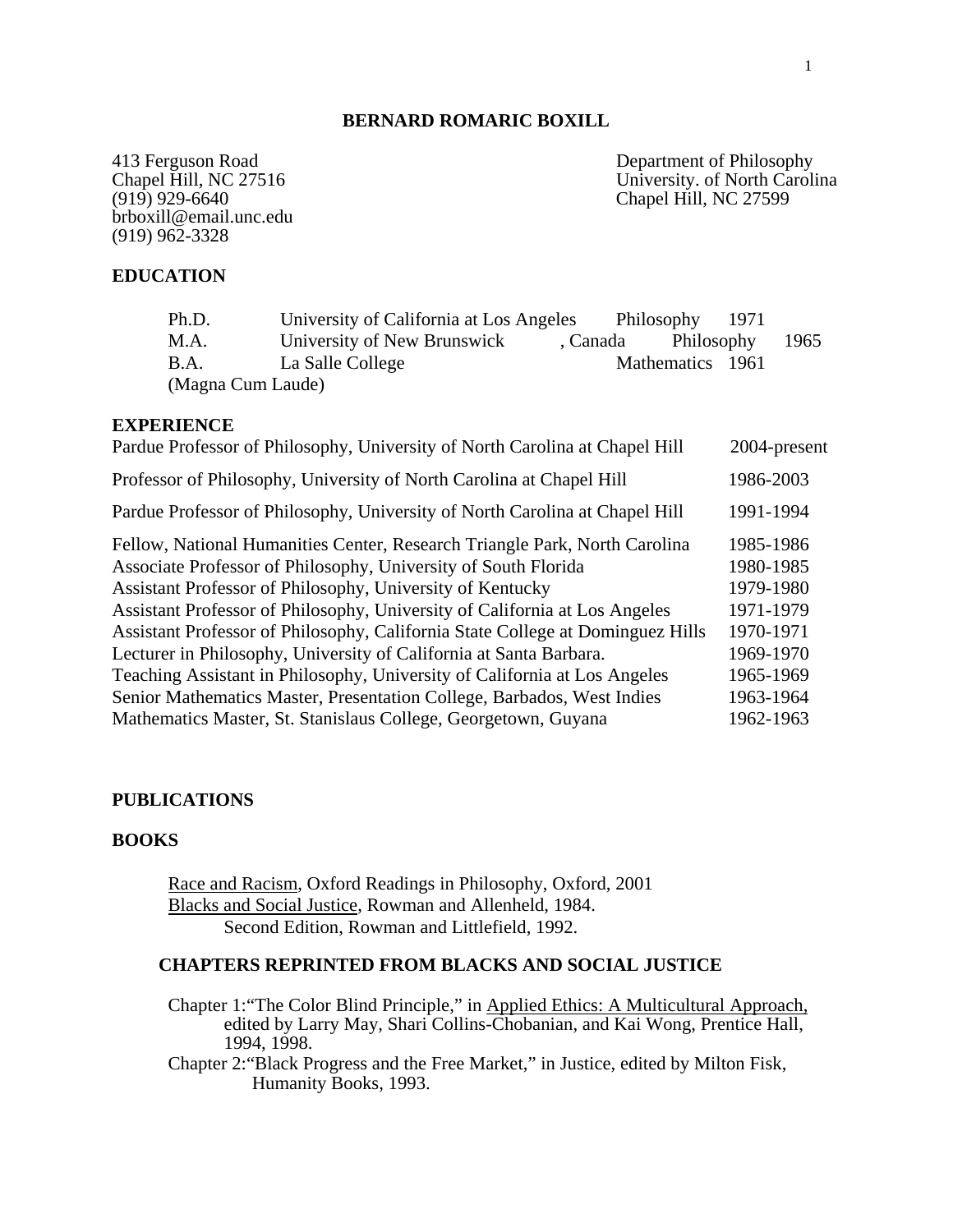## **BERNARD ROMARIC BOXILL**

brboxill@email.unc.edu (919) 962-3328

413 Ferguson Road<br>
Chapel Hill, NC 27516<br>
Chapel Hill, NC 27516<br>
Chapel Hill, NC 27516 Chapel Hill, NC 27516<br>
(919) 929-6640<br>
Chapel Hill, NC 27599 Chapel Hill, NC 27599

## **EDUCATION**

| Ph.D.             | University of California at Los Angeles |                   | Philosophy 1971  |      |
|-------------------|-----------------------------------------|-------------------|------------------|------|
| M.A.              | University of New Brunswick             | Canada Philosophy |                  | 1965 |
| B.A.              | La Salle College                        |                   | Mathematics 1961 |      |
| (Magna Cum Laude) |                                         |                   |                  |      |

#### **EXPERIENCE**

| Pardue Professor of Philosophy, University of North Carolina at Chapel Hill    | 2004-present |
|--------------------------------------------------------------------------------|--------------|
| Professor of Philosophy, University of North Carolina at Chapel Hill           | 1986-2003    |
| Pardue Professor of Philosophy, University of North Carolina at Chapel Hill    | 1991-1994    |
| Fellow, National Humanities Center, Research Triangle Park, North Carolina     | 1985-1986    |
| Associate Professor of Philosophy, University of South Florida                 | 1980-1985    |
| Assistant Professor of Philosophy, University of Kentucky                      | 1979-1980    |
| Assistant Professor of Philosophy, University of California at Los Angeles     | 1971-1979    |
| Assistant Professor of Philosophy, California State College at Dominguez Hills | 1970-1971    |
| Lecturer in Philosophy, University of California at Santa Barbara.             | 1969-1970    |
| Teaching Assistant in Philosophy, University of California at Los Angeles      | 1965-1969    |
| Senior Mathematics Master, Presentation College, Barbados, West Indies         | 1963-1964    |
| Mathematics Master, St. Stanislaus College, Georgetown, Guyana                 | 1962-1963    |
|                                                                                |              |

## **PUBLICATIONS**

## **BOOKS**

Race and Racism, Oxford Readings in Philosophy, Oxford, 2001 Blacks and Social Justice, Rowman and Allenheld, 1984. Second Edition, Rowman and Littlefield, 1992.

#### **CHAPTERS REPRINTED FROM BLACKS AND SOCIAL JUSTICE**

Chapter 1:"The Color Blind Principle," in Applied Ethics: A Multicultural Approach, edited by Larry May, Shari Collins-Chobanian, and Kai Wong, Prentice Hall, 1994, 1998.

 Chapter 2:"Black Progress and the Free Market," in Justice, edited by Milton Fisk, Humanity Books, 1993.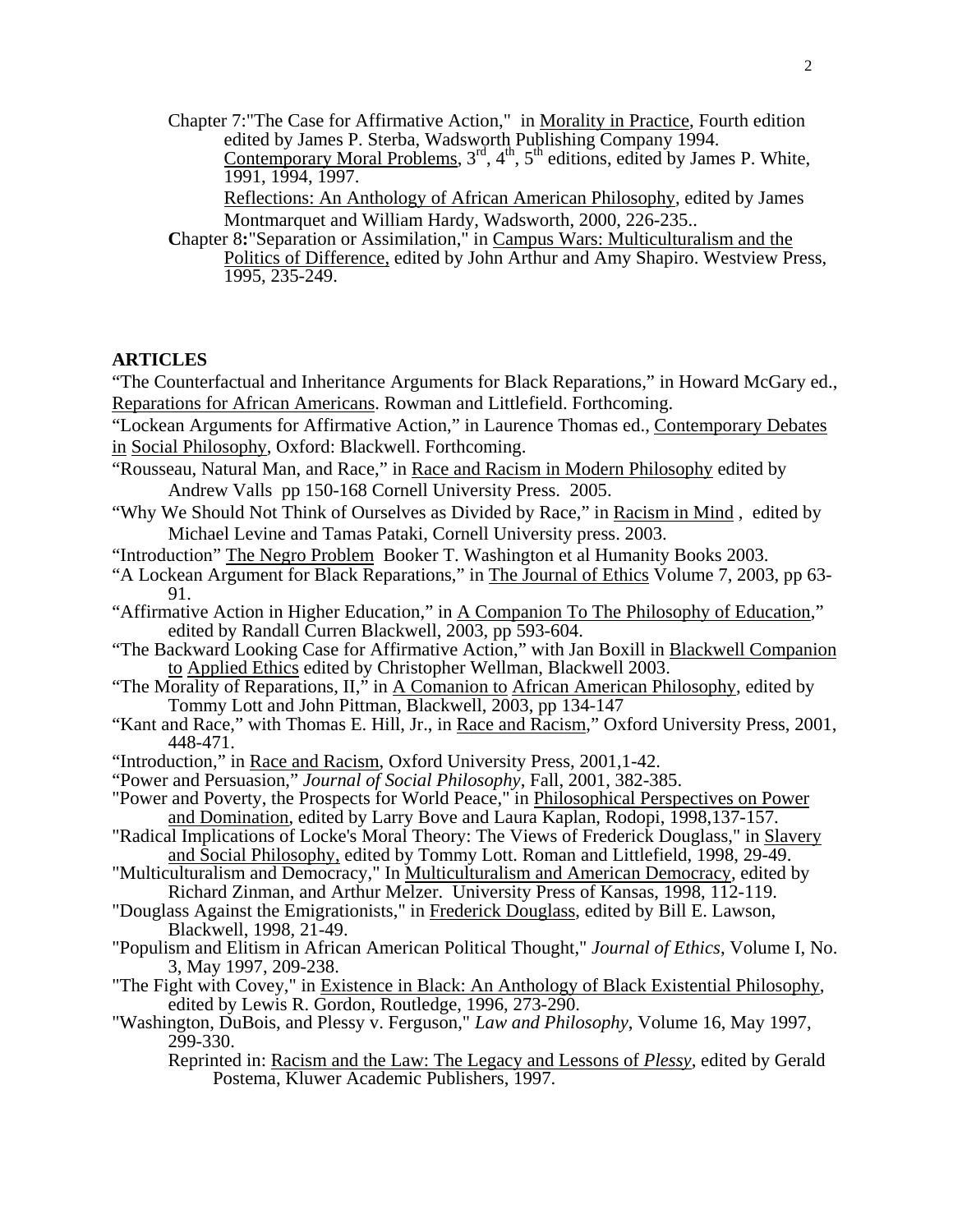Chapter 7:"The Case for Affirmative Action," in Morality in Practice, Fourth edition edited by James P. Sterba, Wadsworth Publishing Company 1994. Contemporary Moral Problems,  $3<sup>rd</sup>$ ,  $4<sup>th</sup>$ ,  $5<sup>th</sup>$  editions, edited by James P. White, 1991, 1994, 1997.

> Reflections: An Anthology of African American Philosophy, edited by James Montmarquet and William Hardy, Wadsworth, 2000, 226-235..

**Chapter 8: "Separation or Assimilation," in Campus Wars: Multiculturalism and the** Politics of Difference, edited by John Arthur and Amy Shapiro. Westview Press, 1995, 235-249.

#### **ARTICLES**

"The Counterfactual and Inheritance Arguments for Black Reparations," in Howard McGary ed., Reparations for African Americans. Rowman and Littlefield. Forthcoming.

"Lockean Arguments for Affirmative Action," in Laurence Thomas ed., Contemporary Debates in Social Philosophy, Oxford: Blackwell. Forthcoming.

- "Rousseau, Natural Man, and Race," in Race and Racism in Modern Philosophy edited by Andrew Valls pp 150-168 Cornell University Press. 2005.
- "Why We Should Not Think of Ourselves as Divided by Race," in Racism in Mind , edited by Michael Levine and Tamas Pataki, Cornell University press. 2003.

"Introduction" The Negro Problem Booker T. Washington et al Humanity Books 2003.

- "A Lockean Argument for Black Reparations," in The Journal of Ethics Volume 7, 2003, pp 63- 91.
- "Affirmative Action in Higher Education," in A Companion To The Philosophy of Education," edited by Randall Curren Blackwell, 2003, pp 593-604.
- "The Backward Looking Case for Affirmative Action," with Jan Boxill in Blackwell Companion to Applied Ethics edited by Christopher Wellman, Blackwell 2003.
- "The Morality of Reparations,  $II$ ," in A Comanion to African American Philosophy, edited by Tommy Lott and John Pittman, Blackwell, 2003, pp 134-147
- "Kant and Race," with Thomas E. Hill, Jr., in Race and Racism," Oxford University Press, 2001, 448-471.
- "Introduction," in Race and Racism, Oxford University Press, 2001,1-42.
- "Power and Persuasion," *Journal of Social Philosophy*, Fall, 2001, 382-385.
- "Power and Poverty, the Prospects for World Peace," in Philosophical Perspectives on Power and Domination, edited by Larry Bove and Laura Kaplan, Rodopi, 1998,137-157.
- "Radical Implications of Locke's Moral Theory: The Views of Frederick Douglass," in Slavery and Social Philosophy, edited by Tommy Lott. Roman and Littlefield, 1998, 29-49.
- "Multiculturalism and Democracy," In Multiculturalism and American Democracy, edited by Richard Zinman, and Arthur Melzer. University Press of Kansas, 1998, 112-119.
- "Douglass Against the Emigrationists," in Frederick Douglass, edited by Bill E. Lawson, Blackwell, 1998, 21-49.
- "Populism and Elitism in African American Political Thought," *Journal of Ethics*, Volume I, No. 3, May 1997, 209-238.
- "The Fight with Covey," in Existence in Black: An Anthology of Black Existential Philosophy, edited by Lewis R. Gordon, Routledge, 1996, 273-290.
- "Washington, DuBois, and Plessy v. Ferguson," *Law and Philosophy*, Volume 16, May 1997, 299-330.
	- Reprinted in: Racism and the Law: The Legacy and Lessons of *Plessy*, edited by Gerald Postema, Kluwer Academic Publishers, 1997.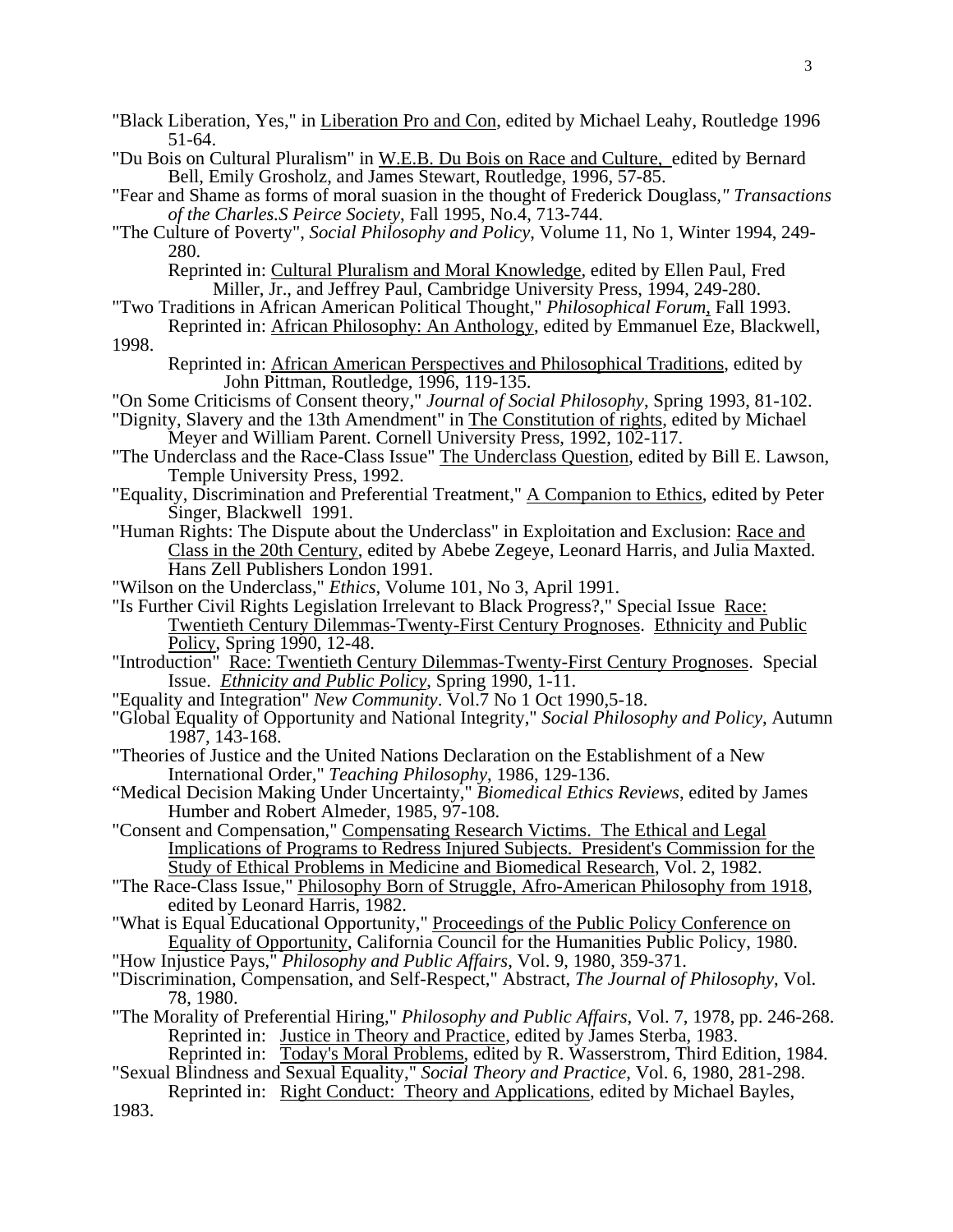- "Black Liberation, Yes," in Liberation Pro and Con, edited by Michael Leahy, Routledge 1996 51-64. "Du Bois on Cultural Pluralism" in W.E.B. Du Bois on Race and Culture, edited by Bernard Bell, Emily Grosholz, and James Stewart, Routledge, 1996, 57-85. "Fear and Shame as forms of moral suasion in the thought of Frederick Douglass*," Transactions of the Charles.S Peirce Society*, Fall 1995, No.4, 713-744. "The Culture of Poverty", *Social Philosophy and Policy*, Volume 11, No 1, Winter 1994, 249- 280. Reprinted in: Cultural Pluralism and Moral Knowledge, edited by Ellen Paul, Fred Miller, Jr., and Jeffrey Paul, Cambridge University Press, 1994, 249-280. "Two Traditions in African American Political Thought," *Philosophical Forum*, Fall 1993. Reprinted in: African Philosophy: An Anthology, edited by Emmanuel Eze, Blackwell, 1998. Reprinted in: African American Perspectives and Philosophical Traditions, edited by John Pittman, Routledge, 1996, 119-135. "On Some Criticisms of Consent theory," *Journal of Social Philosophy*, Spring 1993, 81-102. "Dignity, Slavery and the 13th Amendment" in The Constitution of rights, edited by Michael Meyer and William Parent. Cornell University Press, 1992, 102-117. "The Underclass and the Race-Class Issue" The Underclass Question, edited by Bill E. Lawson,
- Temple University Press, 1992. "Equality, Discrimination and Preferential Treatment," A Companion to Ethics, edited by Peter Singer, Blackwell 1991.
- "Human Rights: The Dispute about the Underclass" in Exploitation and Exclusion: Race and Class in the 20th Century, edited by Abebe Zegeye, Leonard Harris, and Julia Maxted. Hans Zell Publishers London 1991.
- "Wilson on the Underclass," *Ethics*, Volume 101, No 3, April 1991.
- "Is Further Civil Rights Legislation Irrelevant to Black Progress?," Special Issue Race: Twentieth Century Dilemmas-Twenty-First Century Prognoses. Ethnicity and Public Policy, Spring 1990, 12-48.
- "Introduction" Race: Twentieth Century Dilemmas-Twenty-First Century Prognoses. Special Issue. *Ethnicity and Public Policy*, Spring 1990, 1-11.
- "Equality and Integration" *New Community*. Vol.7 No 1 Oct 1990,5-18.
- "Global Equality of Opportunity and National Integrity," *Social Philosophy and Policy*, Autumn 1987, 143-168.
- "Theories of Justice and the United Nations Declaration on the Establishment of a New International Order," *Teaching Philosophy*, 1986, 129-136.
- "Medical Decision Making Under Uncertainty," *Biomedical Ethics Reviews*, edited by James Humber and Robert Almeder, 1985, 97-108.
- "Consent and Compensation," Compensating Research Victims. The Ethical and Legal Implications of Programs to Redress Injured Subjects. President's Commission for the Study of Ethical Problems in Medicine and Biomedical Research, Vol. 2, 1982.
- "The Race-Class Issue," Philosophy Born of Struggle, Afro-American Philosophy from 1918, edited by Leonard Harris, 1982.
- "What is Equal Educational Opportunity," Proceedings of the Public Policy Conference on Equality of Opportunity, California Council for the Humanities Public Policy, 1980.
- "How Injustice Pays," *Philosophy and Public Affairs*, Vol. 9, 1980, 359-371.
- "Discrimination, Compensation, and Self-Respect," Abstract, *The Journal of Philosophy*, Vol. 78, 1980.
- "The Morality of Preferential Hiring," *Philosophy and Public Affairs*, Vol. 7, 1978, pp. 246-268. Reprinted in: Justice in Theory and Practice, edited by James Sterba, 1983.
- Reprinted in: Today's Moral Problems, edited by R. Wasserstrom, Third Edition, 1984. "Sexual Blindness and Sexual Equality," *Social Theory and Practice*, Vol. 6, 1980, 281-298.
- Reprinted in: Right Conduct: Theory and Applications, edited by Michael Bayles, 1983.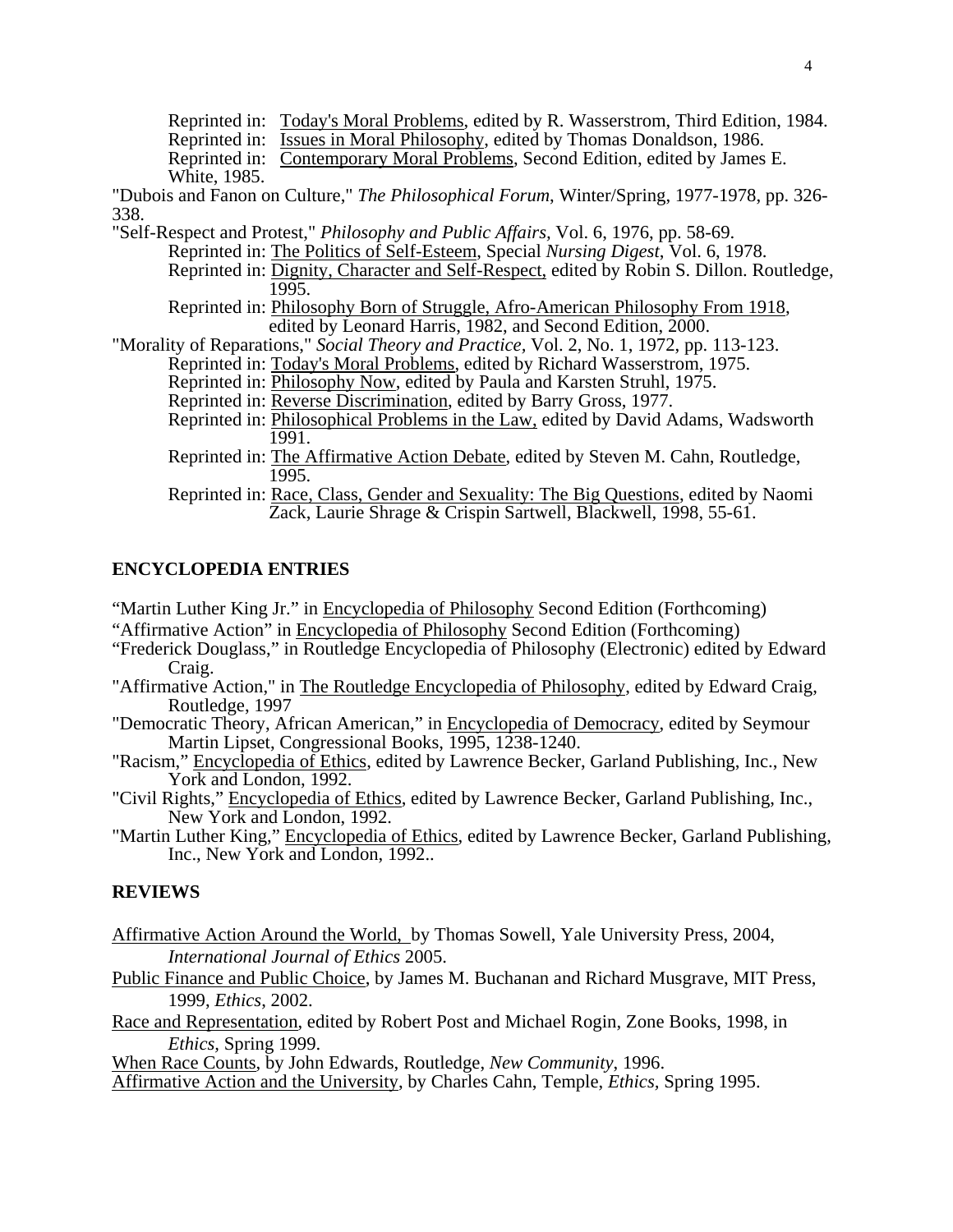Reprinted in: Today's Moral Problems, edited by R. Wasserstrom, Third Edition, 1984. Reprinted in: Issues in Moral Philosophy, edited by Thomas Donaldson, 1986.

Reprinted in: Contemporary Moral Problems, Second Edition, edited by James E. White, 1985.

"Dubois and Fanon on Culture," *The Philosophical Forum*, Winter/Spring, 1977-1978, pp. 326- 338.

"Self-Respect and Protest," *Philosophy and Public Affairs,* Vol. 6, 1976, pp. 58-69.

Reprinted in: The Politics of Self-Esteem, Special *Nursing Digest*, Vol. 6, 1978.

Reprinted in: Dignity, Character and Self-Respect, edited by Robin S. Dillon. Routledge, 1995.

Reprinted in: Philosophy Born of Struggle, Afro-American Philosophy From 1918, edited by Leonard Harris, 1982, and Second Edition, 2000.

"Morality of Reparations," *Social Theory and Practice,* Vol. 2, No. 1, 1972, pp. 113-123.

Reprinted in: Today's Moral Problems, edited by Richard Wasserstrom, 1975.

Reprinted in: Philosophy Now, edited by Paula and Karsten Struhl, 1975.

Reprinted in: Reverse Discrimination, edited by Barry Gross, 1977.

- Reprinted in: Philosophical Problems in the Law, edited by David Adams, Wadsworth 1991.
- Reprinted in: The Affirmative Action Debate, edited by Steven M. Cahn, Routledge, 1995.

Reprinted in: Race, Class, Gender and Sexuality: The Big Questions, edited by Naomi Zack, Laurie Shrage & Crispin Sartwell, Blackwell, 1998, 55-61.

# **ENCYCLOPEDIA ENTRIES**

"Martin Luther King Jr." in Encyclopedia of Philosophy Second Edition (Forthcoming)

"Affirmative Action" in Encyclopedia of Philosophy Second Edition (Forthcoming)

- "Frederick Douglass," in Routledge Encyclopedia of Philosophy (Electronic) edited by Edward Craig.
- "Affirmative Action," in The Routledge Encyclopedia of Philosophy, edited by Edward Craig, Routledge, 1997
- "Democratic Theory, African American," in Encyclopedia of Democracy, edited by Seymour Martin Lipset, Congressional Books, 1995, 1238-1240.
- "Racism," Encyclopedia of Ethics, edited by Lawrence Becker, Garland Publishing, Inc., New York and London, 1992.
- "Civil Rights," Encyclopedia of Ethics, edited by Lawrence Becker, Garland Publishing, Inc., New York and London, 1992.
- "Martin Luther King," Encyclopedia of Ethics, edited by Lawrence Becker, Garland Publishing, Inc., New York and London, 1992..

### **REVIEWS**

Affirmative Action Around the World, by Thomas Sowell, Yale University Press, 2004, *International Journal of Ethics* 2005.

Public Finance and Public Choice, by James M. Buchanan and Richard Musgrave, MIT Press, 1999, *Ethics*, 2002.

Race and Representation, edited by Robert Post and Michael Rogin, Zone Books, 1998, in *Ethics,* Spring 1999.

When Race Counts, by John Edwards, Routledge, *New Community*, 1996.

Affirmative Action and the University, by Charles Cahn, Temple, *Ethics,* Spring 1995.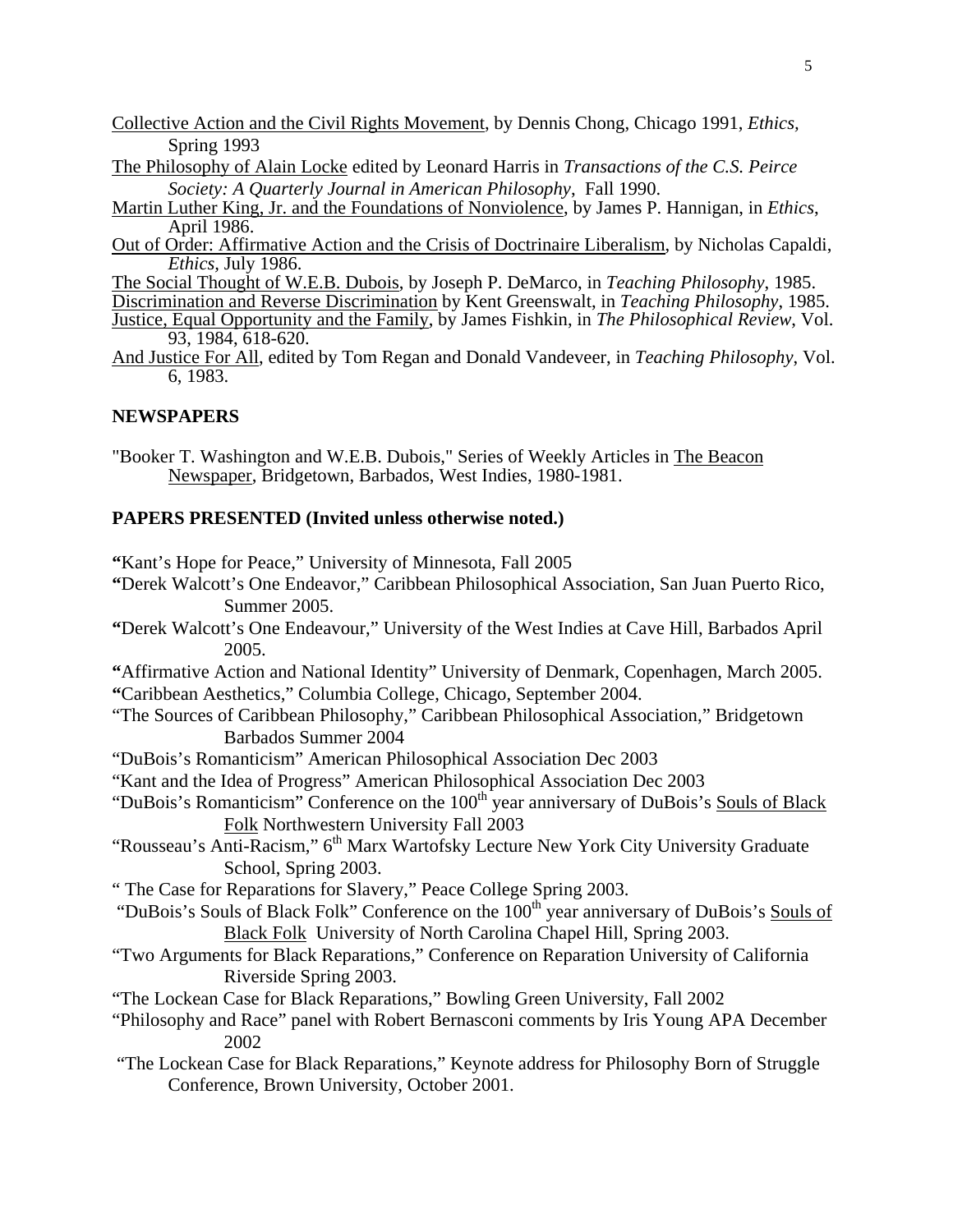- Collective Action and the Civil Rights Movement, by Dennis Chong, Chicago 1991, *Ethics,* Spring 1993
- The Philosophy of Alain Locke edited by Leonard Harris in *Transactions of the C.S. Peirce Society: A Quarterly Journal in American Philosophy*, Fall 1990.
- Martin Luther King, Jr. and the Foundations of Nonviolence, by James P. Hannigan, in *Ethics*, April 1986.
- Out of Order: Affirmative Action and the Crisis of Doctrinaire Liberalism, by Nicholas Capaldi, *Ethics,* July 1986.
- The Social Thought of W.E.B. Dubois, by Joseph P. DeMarco, in *Teaching Philosophy*, 1985.
- Discrimination and Reverse Discrimination by Kent Greenswalt, in *Teaching Philosophy*, 1985. Justice, Equal Opportunity and the Family, by James Fishkin, in *The Philosophical Review*, Vol. 93, 1984, 618-620.
- And Justice For All, edited by Tom Regan and Donald Vandeveer, in *Teaching Philosophy*, Vol. 6, 1983.

# **NEWSPAPERS**

"Booker T. Washington and W.E.B. Dubois," Series of Weekly Articles in The Beacon Newspaper, Bridgetown, Barbados, West Indies, 1980-1981.

# **PAPERS PRESENTED (Invited unless otherwise noted.)**

**"**Kant's Hope for Peace," University of Minnesota, Fall 2005

- **"**Derek Walcott's One Endeavor," Caribbean Philosophical Association, San Juan Puerto Rico, Summer 2005.
- **"**Derek Walcott's One Endeavour," University of the West Indies at Cave Hill, Barbados April 2005.
- **"**Affirmative Action and National Identity" University of Denmark, Copenhagen, March 2005. **"**Caribbean Aesthetics," Columbia College, Chicago, September 2004.
- "The Sources of Caribbean Philosophy," Caribbean Philosophical Association," Bridgetown Barbados Summer 2004
- "DuBois's Romanticism" American Philosophical Association Dec 2003
- "Kant and the Idea of Progress" American Philosophical Association Dec 2003
- "DuBois's Romanticism" Conference on the 100<sup>th</sup> year anniversary of DuBois's Souls of Black Folk Northwestern University Fall 2003
- "Rousseau's Anti-Racism," 6<sup>th</sup> Marx Wartofsky Lecture New York City University Graduate School, Spring 2003.
- " The Case for Reparations for Slavery," Peace College Spring 2003.
- "DuBois's Souls of Black Folk" Conference on the 100<sup>th</sup> year anniversary of DuBois's Souls of Black Folk University of North Carolina Chapel Hill, Spring 2003.
- "Two Arguments for Black Reparations," Conference on Reparation University of California Riverside Spring 2003.
- "The Lockean Case for Black Reparations," Bowling Green University, Fall 2002
- "Philosophy and Race" panel with Robert Bernasconi comments by Iris Young APA December 2002
- "The Lockean Case for Black Reparations," Keynote address for Philosophy Born of Struggle Conference, Brown University, October 2001.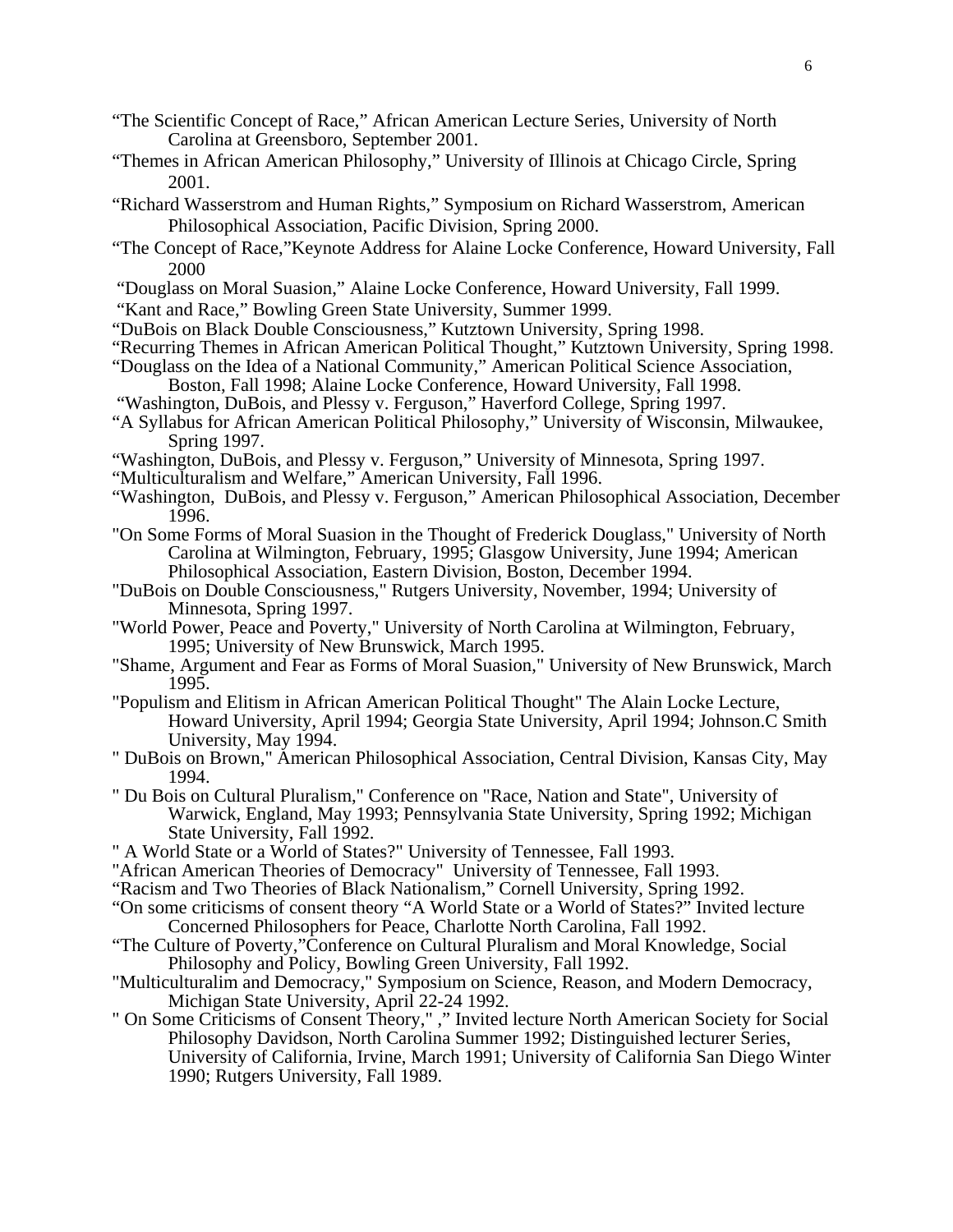- "The Scientific Concept of Race," African American Lecture Series, University of North Carolina at Greensboro, September 2001.
- "Themes in African American Philosophy," University of Illinois at Chicago Circle, Spring 2001.
- "Richard Wasserstrom and Human Rights," Symposium on Richard Wasserstrom, American Philosophical Association, Pacific Division, Spring 2000.
- "The Concept of Race,"Keynote Address for Alaine Locke Conference, Howard University, Fall 2000
- "Douglass on Moral Suasion," Alaine Locke Conference, Howard University, Fall 1999.
- "Kant and Race," Bowling Green State University, Summer 1999.
- "DuBois on Black Double Consciousness," Kutztown University, Spring 1998.
- "Recurring Themes in African American Political Thought," Kutztown University, Spring 1998.
- "Douglass on the Idea of a National Community," American Political Science Association, Boston, Fall 1998; Alaine Locke Conference, Howard University, Fall 1998.
- "Washington, DuBois, and Plessy v. Ferguson," Haverford College, Spring 1997.
- "A Syllabus for African American Political Philosophy," University of Wisconsin, Milwaukee, Spring 1997.
- "Washington, DuBois, and Plessy v. Ferguson," University of Minnesota, Spring 1997.
- "Multiculturalism and Welfare," American University, Fall 1996.
- "Washington, DuBois, and Plessy v. Ferguson," American Philosophical Association, December 1996.
- "On Some Forms of Moral Suasion in the Thought of Frederick Douglass," University of North Carolina at Wilmington, February, 1995; Glasgow University, June 1994; American Philosophical Association, Eastern Division, Boston, December 1994.
- "DuBois on Double Consciousness," Rutgers University, November, 1994; University of Minnesota, Spring 1997.
- "World Power, Peace and Poverty," University of North Carolina at Wilmington, February, 1995; University of New Brunswick, March 1995.
- "Shame, Argument and Fear as Forms of Moral Suasion," University of New Brunswick, March 1995.
- "Populism and Elitism in African American Political Thought" The Alain Locke Lecture, Howard University, April 1994; Georgia State University, April 1994; Johnson.C Smith University, May 1994.
- " DuBois on Brown," American Philosophical Association, Central Division, Kansas City, May 1994.
- " Du Bois on Cultural Pluralism," Conference on "Race, Nation and State", University of Warwick, England, May 1993; Pennsylvania State University, Spring 1992; Michigan State University, Fall 1992.
- " A World State or a World of States?" University of Tennessee, Fall 1993.
- "African American Theories of Democracy" University of Tennessee, Fall 1993.
- "Racism and Two Theories of Black Nationalism," Cornell University, Spring 1992.
- "On some criticisms of consent theory "A World State or a World of States?" Invited lecture Concerned Philosophers for Peace, Charlotte North Carolina, Fall 1992.
- "The Culture of Poverty,"Conference on Cultural Pluralism and Moral Knowledge, Social Philosophy and Policy, Bowling Green University, Fall 1992.
- "Multiculturalim and Democracy," Symposium on Science, Reason, and Modern Democracy, Michigan State University, April 22-24 1992.
- " On Some Criticisms of Consent Theory," ," Invited lecture North American Society for Social Philosophy Davidson, North Carolina Summer 1992; Distinguished lecturer Series, University of California, Irvine, March 1991; University of California San Diego Winter 1990; Rutgers University, Fall 1989.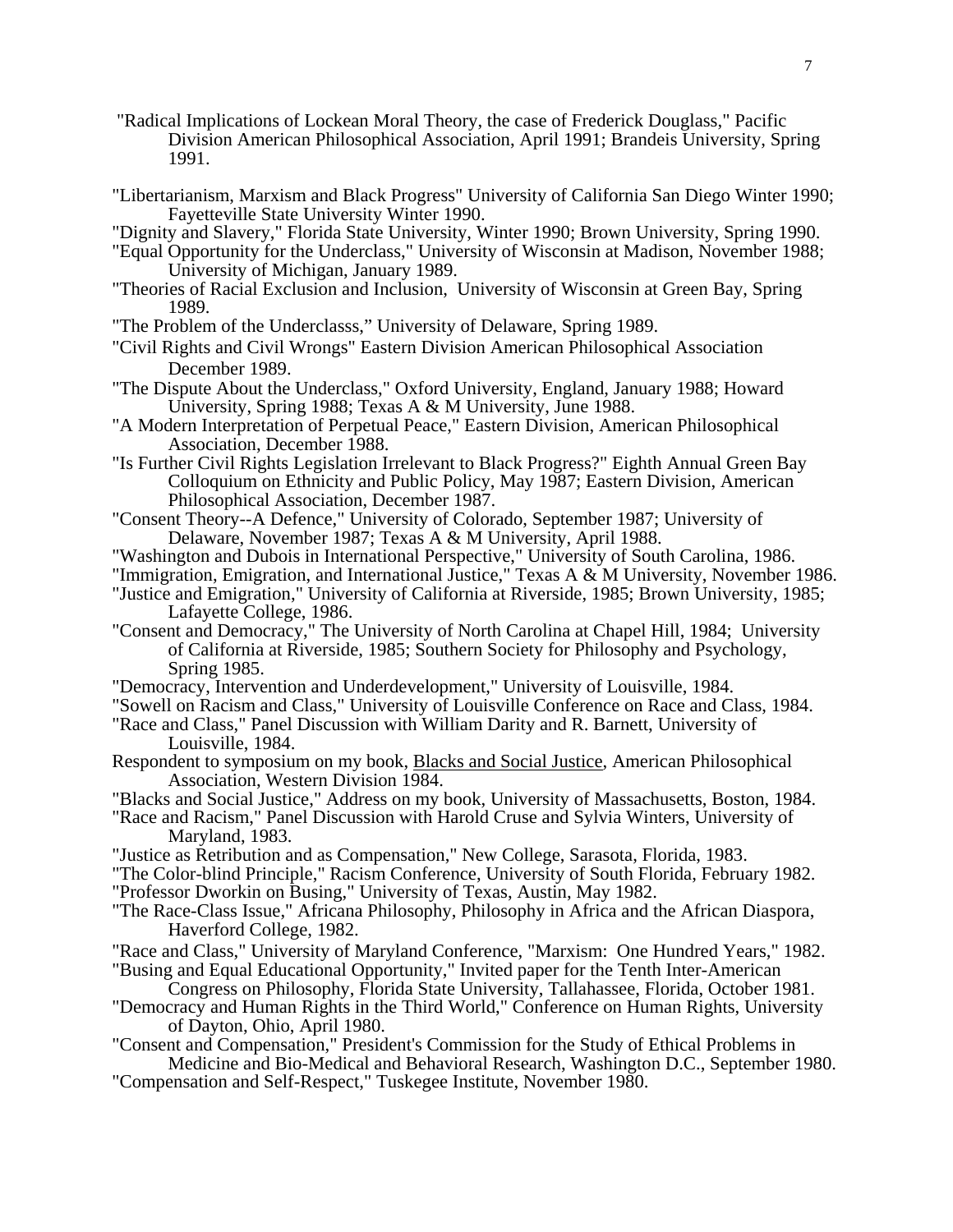- "Radical Implications of Lockean Moral Theory, the case of Frederick Douglass," Pacific Division American Philosophical Association, April 1991; Brandeis University, Spring 1991.
- "Libertarianism, Marxism and Black Progress" University of California San Diego Winter 1990; Fayetteville State University Winter 1990.
- "Dignity and Slavery," Florida State University, Winter 1990; Brown University, Spring 1990.
- "Equal Opportunity for the Underclass," University of Wisconsin at Madison, November 1988; University of Michigan, January 1989.
- "Theories of Racial Exclusion and Inclusion, University of Wisconsin at Green Bay, Spring 1989.
- "The Problem of the Underclasss," University of Delaware, Spring 1989.
- "Civil Rights and Civil Wrongs" Eastern Division American Philosophical Association December 1989.
- "The Dispute About the Underclass," Oxford University, England, January 1988; Howard University, Spring 1988; Texas A & M University, June 1988.
- "A Modern Interpretation of Perpetual Peace," Eastern Division, American Philosophical Association, December 1988.
- "Is Further Civil Rights Legislation Irrelevant to Black Progress?" Eighth Annual Green Bay Colloquium on Ethnicity and Public Policy, May 1987; Eastern Division, American Philosophical Association, December 1987.
- "Consent Theory--A Defence," University of Colorado, September 1987; University of Delaware, November 1987; Texas A & M University, April 1988.
- "Washington and Dubois in International Perspective," University of South Carolina, 1986.
- "Immigration, Emigration, and International Justice," Texas A & M University, November 1986.
- "Justice and Emigration," University of California at Riverside, 1985; Brown University, 1985; Lafayette College, 1986.
- "Consent and Democracy," The University of North Carolina at Chapel Hill, 1984; University of California at Riverside, 1985; Southern Society for Philosophy and Psychology, Spring 1985.
- "Democracy, Intervention and Underdevelopment," University of Louisville, 1984.
- "Sowell on Racism and Class," University of Louisville Conference on Race and Class, 1984.
- "Race and Class," Panel Discussion with William Darity and R. Barnett, University of Louisville, 1984.
- Respondent to symposium on my book, Blacks and Social Justice, American Philosophical Association, Western Division 1984.
- "Blacks and Social Justice," Address on my book, University of Massachusetts, Boston, 1984.
- "Race and Racism," Panel Discussion with Harold Cruse and Sylvia Winters, University of Maryland, 1983.
- "Justice as Retribution and as Compensation," New College, Sarasota, Florida, 1983.
- "The Color-blind Principle," Racism Conference, University of South Florida, February 1982. "Professor Dworkin on Busing," University of Texas, Austin, May 1982.
- "The Race-Class Issue," Africana Philosophy, Philosophy in Africa and the African Diaspora, Haverford College, 1982.
- "Race and Class," University of Maryland Conference, "Marxism: One Hundred Years," 1982.
- "Busing and Equal Educational Opportunity," Invited paper for the Tenth Inter-American Congress on Philosophy, Florida State University, Tallahassee, Florida, October 1981.
- "Democracy and Human Rights in the Third World," Conference on Human Rights, University of Dayton, Ohio, April 1980.
- "Consent and Compensation," President's Commission for the Study of Ethical Problems in Medicine and Bio-Medical and Behavioral Research, Washington D.C., September 1980.
- "Compensation and Self-Respect," Tuskegee Institute, November 1980.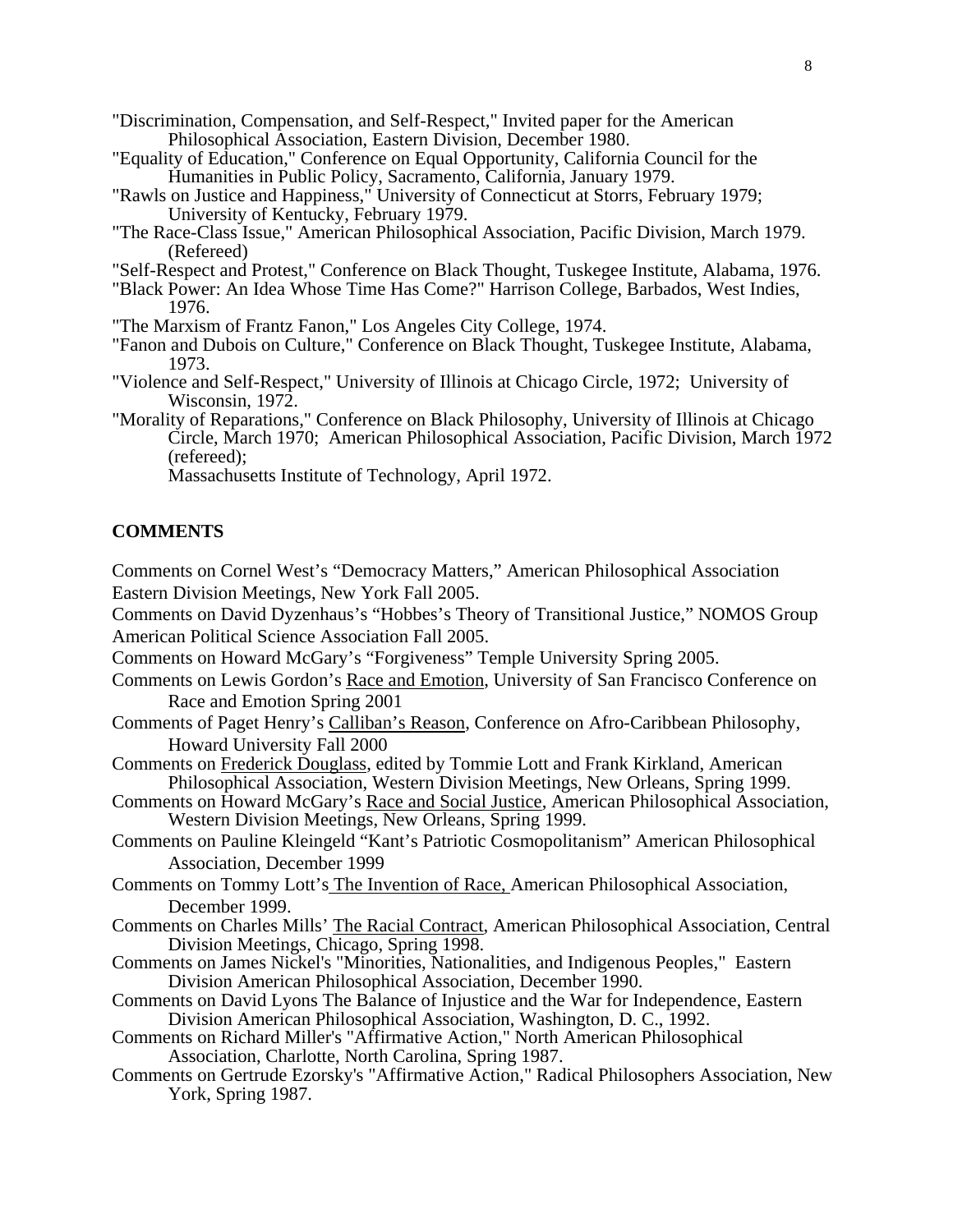- "Discrimination, Compensation, and Self-Respect," Invited paper for the American Philosophical Association, Eastern Division, December 1980.
- "Equality of Education," Conference on Equal Opportunity, California Council for the Humanities in Public Policy, Sacramento, California, January 1979.
- "Rawls on Justice and Happiness," University of Connecticut at Storrs, February 1979; University of Kentucky, February 1979.
- "The Race-Class Issue," American Philosophical Association, Pacific Division, March 1979. (Refereed)
- "Self-Respect and Protest," Conference on Black Thought, Tuskegee Institute, Alabama, 1976.
- "Black Power: An Idea Whose Time Has Come?" Harrison College, Barbados, West Indies, 1976.
- "The Marxism of Frantz Fanon," Los Angeles City College, 1974.
- "Fanon and Dubois on Culture," Conference on Black Thought, Tuskegee Institute, Alabama, 1973.
- "Violence and Self-Respect," University of Illinois at Chicago Circle, 1972; University of Wisconsin, 1972.
- "Morality of Reparations," Conference on Black Philosophy, University of Illinois at Chicago Circle, March 1970; American Philosophical Association, Pacific Division, March 1972 (refereed);

Massachusetts Institute of Technology, April 1972.

# **COMMENTS**

Comments on Cornel West's "Democracy Matters," American Philosophical Association Eastern Division Meetings, New York Fall 2005.

Comments on David Dyzenhaus's "Hobbes's Theory of Transitional Justice," NOMOS Group American Political Science Association Fall 2005.

Comments on Howard McGary's "Forgiveness" Temple University Spring 2005.

- Comments on Lewis Gordon's Race and Emotion, University of San Francisco Conference on Race and Emotion Spring 2001
- Comments of Paget Henry's Calliban's Reason, Conference on Afro-Caribbean Philosophy, Howard University Fall 2000
- Comments on Frederick Douglass, edited by Tommie Lott and Frank Kirkland, American Philosophical Association, Western Division Meetings, New Orleans, Spring 1999.
- Comments on Howard McGary's Race and Social Justice, American Philosophical Association, Western Division Meetings, New Orleans, Spring 1999.
- Comments on Pauline Kleingeld "Kant's Patriotic Cosmopolitanism" American Philosophical Association, December 1999
- Comments on Tommy Lott's The Invention of Race, American Philosophical Association, December 1999.
- Comments on Charles Mills' The Racial Contract, American Philosophical Association, Central Division Meetings, Chicago, Spring 1998.
- Comments on James Nickel's "Minorities, Nationalities, and Indigenous Peoples," Eastern Division American Philosophical Association, December 1990.
- Comments on David Lyons The Balance of Injustice and the War for Independence, Eastern Division American Philosophical Association, Washington, D. C., 1992.
- Comments on Richard Miller's "Affirmative Action," North American Philosophical Association, Charlotte, North Carolina, Spring 1987.
- Comments on Gertrude Ezorsky's "Affirmative Action," Radical Philosophers Association, New York, Spring 1987.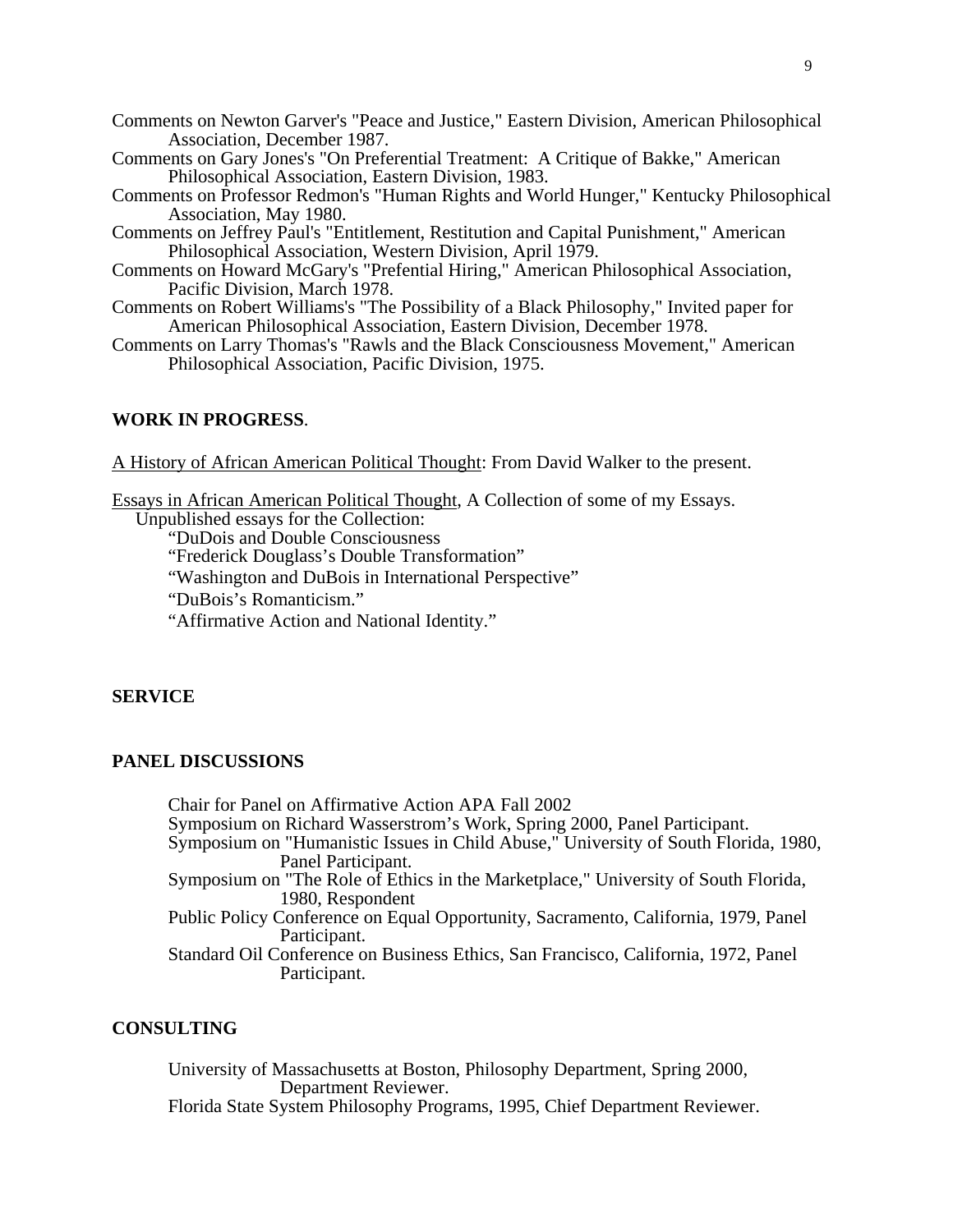- Comments on Newton Garver's "Peace and Justice," Eastern Division, American Philosophical Association, December 1987.
- Comments on Gary Jones's "On Preferential Treatment: A Critique of Bakke," American Philosophical Association, Eastern Division, 1983.
- Comments on Professor Redmon's "Human Rights and World Hunger," Kentucky Philosophical Association, May 1980.
- Comments on Jeffrey Paul's "Entitlement, Restitution and Capital Punishment," American Philosophical Association, Western Division, April 1979.
- Comments on Howard McGary's "Prefential Hiring," American Philosophical Association, Pacific Division, March 1978.
- Comments on Robert Williams's "The Possibility of a Black Philosophy," Invited paper for American Philosophical Association, Eastern Division, December 1978.
- Comments on Larry Thomas's "Rawls and the Black Consciousness Movement," American Philosophical Association, Pacific Division, 1975.

#### **WORK IN PROGRESS**.

A History of African American Political Thought: From David Walker to the present.

Essays in African American Political Thought, A Collection of some of my Essays.

Unpublished essays for the Collection:

"DuDois and Double Consciousness

- "Frederick Douglass's Double Transformation"
- "Washington and DuBois in International Perspective"

"DuBois's Romanticism."

"Affirmative Action and National Identity."

#### **SERVICE**

### **PANEL DISCUSSIONS**

 Chair for Panel on Affirmative Action APA Fall 2002 Symposium on Richard Wasserstrom's Work, Spring 2000, Panel Participant. Symposium on "Humanistic Issues in Child Abuse," University of South Florida, 1980, Panel Participant. Symposium on "The Role of Ethics in the Marketplace," University of South Florida, 1980, Respondent Public Policy Conference on Equal Opportunity, Sacramento, California, 1979, Panel Participant. Standard Oil Conference on Business Ethics, San Francisco, California, 1972, Panel Participant.

# **CONSULTING**

University of Massachusetts at Boston, Philosophy Department, Spring 2000, Department Reviewer. Florida State System Philosophy Programs, 1995, Chief Department Reviewer.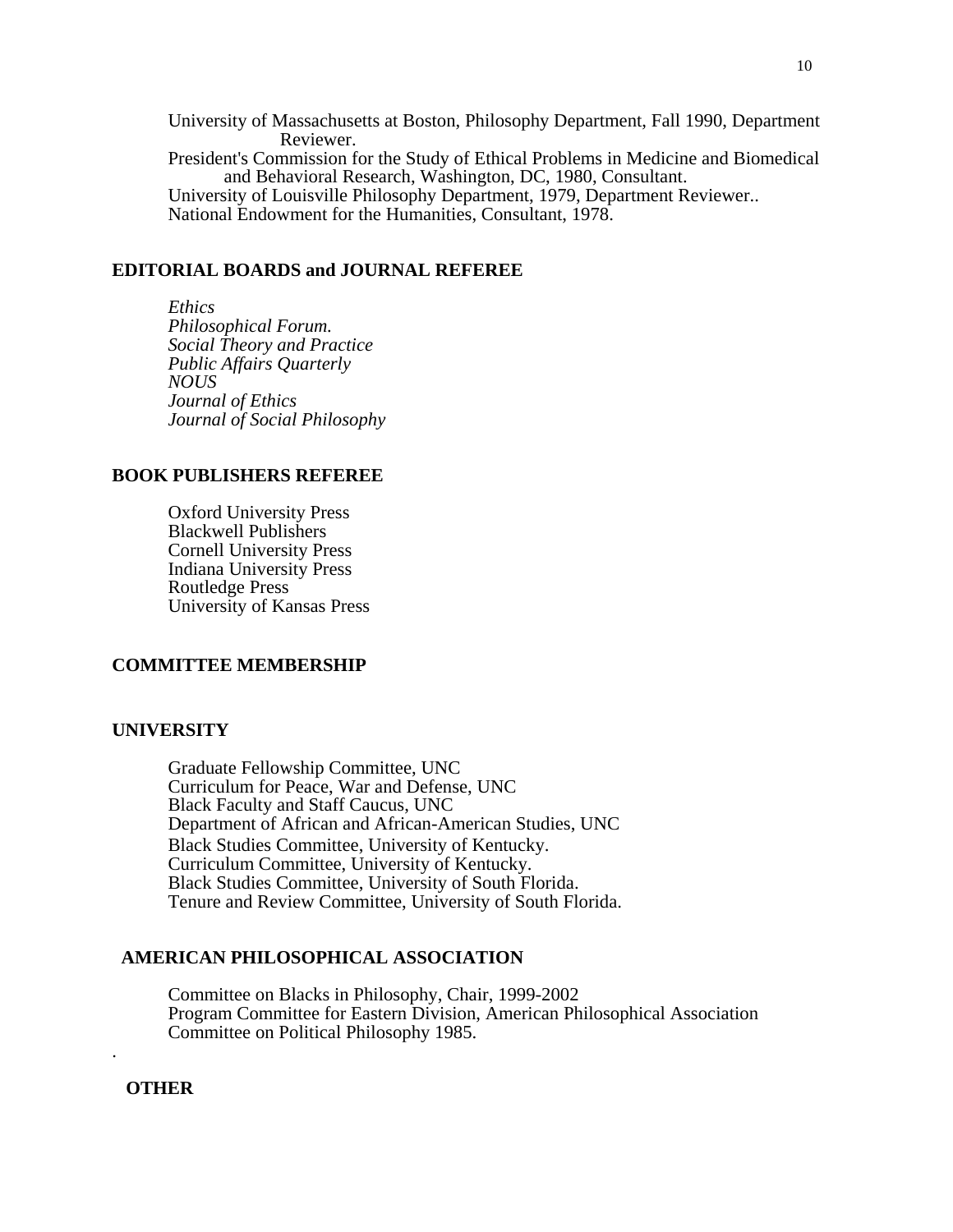University of Massachusetts at Boston, Philosophy Department, Fall 1990, Department Reviewer. President's Commission for the Study of Ethical Problems in Medicine and Biomedical and Behavioral Research, Washington, DC, 1980, Consultant. University of Louisville Philosophy Department, 1979, Department Reviewer.. National Endowment for the Humanities, Consultant, 1978.

#### **EDITORIAL BOARDS and JOURNAL REFEREE**

 *Ethics Philosophical Forum. Social Theory and Practice Public Affairs Quarterly NOUS Journal of Ethics Journal of Social Philosophy* 

#### **BOOK PUBLISHERS REFEREE**

 Oxford University Press Blackwell Publishers Cornell University Press Indiana University Press Routledge Press University of Kansas Press

### **COMMITTEE MEMBERSHIP**

#### **UNIVERSITY**

 Graduate Fellowship Committee, UNC Curriculum for Peace, War and Defense, UNC Black Faculty and Staff Caucus, UNC Department of African and African-American Studies, UNC Black Studies Committee, University of Kentucky. Curriculum Committee, University of Kentucky. Black Studies Committee, University of South Florida. Tenure and Review Committee, University of South Florida.

## **AMERICAN PHILOSOPHICAL ASSOCIATION**

 Committee on Blacks in Philosophy, Chair, 1999-2002 Program Committee for Eastern Division, American Philosophical Association Committee on Political Philosophy 1985.

### **OTHER**

.